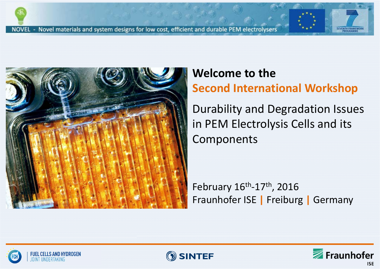

# **Welcome to the**

**Second International Workshop**

Durability and Degradation Issues in PEM Electrolysis Cells and its Components

February 16<sup>th</sup>-17<sup>th</sup>, 2016 Fraunhofer ISE **|** Freiburg **|** Germany





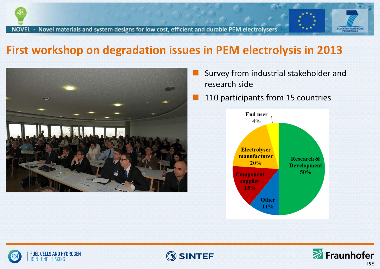

### **First workshop on degradation issues in PEM electrolysis in 2013**



- Survey from industrial stakeholder and research side
- 110 participants from 15 countries







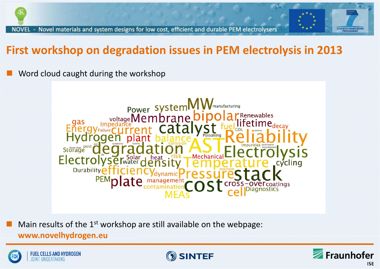## **First workshop on degradation issues in PEM electrolysis in 2013**

Word cloud caught during the workshop



Main results of the  $1<sup>st</sup>$  workshop are still available on the webpage:

### **www.novelhydrogen.eu**



Ξ





**SEVENTH FR**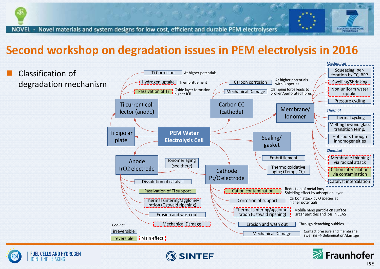### **Second workshop on degradation issues in PEM electrolysis in 2016**





Classification of

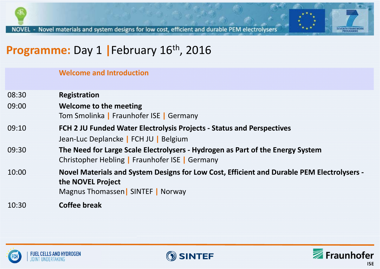

## **Programme:** Day <sup>1</sup> **|**February 16th, <sup>2016</sup>

#### **Welcome and Introduction**

| 08:30 | <b>Registration</b> |
|-------|---------------------|
|       |                     |
|       |                     |

- 09:00 **Welcome to the meeting** Tom Smolinka **|** Fraunhofer ISE **|** Germany
- 09:10 **FCH 2 JU Funded Water Electrolysis Projects ‐ Status and Perspectives** Jean‐Luc Deplancke **|** FCH JU **|** Belgium
- 09:30 **The Need for Large Scale Electrolysers ‐ Hydrogen as Part of the Energy System** Christopher Hebling **|** Fraunhofer ISE **|** Germany
- 10:00 **Novel Materials and System Designs for Low Cost, Efficient and Durable PEM Electrolysers ‐ the NOVEL Project** Magnus Thomassen**|** SINTEF **|** Norway

10:30**Coffee break**





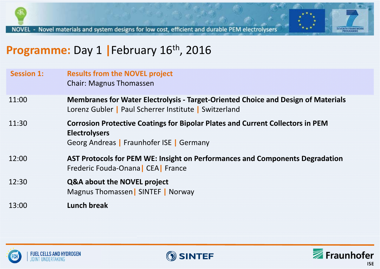



| <b>Session 1:</b> | <b>Results from the NOVEL project</b><br><b>Chair: Magnus Thomassen</b>                                                                                   |
|-------------------|-----------------------------------------------------------------------------------------------------------------------------------------------------------|
| 11:00             | <b>Membranes for Water Electrolysis - Target-Oriented Choice and Design of Materials</b><br>Lorenz Gubler   Paul Scherrer Institute   Switzerland         |
| 11:30             | <b>Corrosion Protective Coatings for Bipolar Plates and Current Collectors in PEM</b><br><b>Electrolysers</b><br>Georg Andreas   Fraunhofer ISE   Germany |
| 12:00             | AST Protocols for PEM WE: Insight on Performances and Components Degradation<br>Frederic Fouda-Onana CEA France                                           |
| 12:30             | <b>Q&amp;A about the NOVEL project</b><br>Magnus Thomassen SINTEF   Norway                                                                                |
| 13:00             | <b>Lunch break</b>                                                                                                                                        |





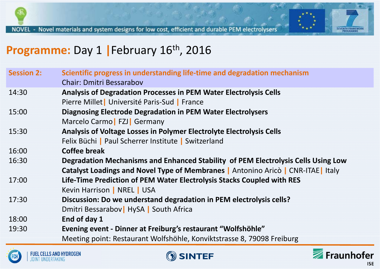

## **Programme:** Day <sup>1</sup> **|**February 16th, <sup>2016</sup>

| <b>Session 2:</b> | Scientific progress in understanding life-time and degradation mechanism<br><b>Chair: Dmitri Bessarabov</b> |
|-------------------|-------------------------------------------------------------------------------------------------------------|
| 14:30             | Analysis of Degradation Processes in PEM Water Electrolysis Cells                                           |
|                   | Pierre Millet   Université Paris-Sud   France                                                               |
| 15:00             | <b>Diagnosing Electrode Degradation in PEM Water Electrolysers</b>                                          |
|                   | Marcelo Carmo   FZJ   Germany                                                                               |
| 15:30             | Analysis of Voltage Losses in Polymer Electrolyte Electrolysis Cells                                        |
|                   | Felix Büchi   Paul Scherrer Institute   Switzerland                                                         |
| 16:00             | <b>Coffee break</b>                                                                                         |
| 16:30             | Degradation Mechanisms and Enhanced Stability of PEM Electrolysis Cells Using Low                           |
|                   | Catalyst Loadings and Novel Type of Membranes   Antonino Aricò   CNR-ITAE   Italy                           |
| 17:00             | Life-Time Prediction of PEM Water Electrolysis Stacks Coupled with RES                                      |
|                   | Kevin Harrison   NREL   USA                                                                                 |
| 17:30             | Discussion: Do we understand degradation in PEM electrolysis cells?                                         |
|                   | Dmitri Bessarabov   HySA   South Africa                                                                     |
| 18:00             | End of day 1                                                                                                |
| 19:30             | Evening event - Dinner at Freiburg's restaurant "Wolfshöhle"                                                |
|                   | Meeting point: Restaurant Wolfshöhle, Konviktstrasse 8, 79098 Freiburg                                      |







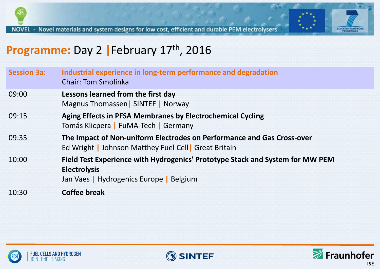

# **Programme:** Day <sup>2</sup> **|**February 17th, <sup>2016</sup>

| <b>Session 3a:</b> | Industrial experience in long-term performance and degradation<br><b>Chair: Tom Smolinka</b>                                                    |
|--------------------|-------------------------------------------------------------------------------------------------------------------------------------------------|
| 09:00              | Lessons learned from the first day<br>Magnus Thomassen   SINTEF   Norway                                                                        |
| 09:15              | <b>Aging Effects in PFSA Membranes by Electrochemical Cycling</b><br>Tomás Klicpera   FuMA-Tech   Germany                                       |
| 09:35              | The Impact of Non-uniform Electrodes on Performance and Gas Cross-over<br>Ed Wright   Johnson Matthey Fuel Cell   Great Britain                 |
| 10:00              | Field Test Experience with Hydrogenics' Prototype Stack and System for MW PEM<br><b>Electrolysis</b><br>Jan Vaes   Hydrogenics Europe   Belgium |
| 10:30              | <b>Coffee break</b>                                                                                                                             |





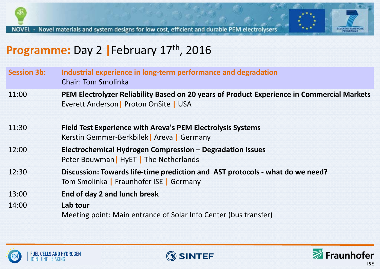



| <b>Session 3b:</b> | Industrial experience in long-term performance and degradation<br><b>Chair: Tom Smolinka</b>                                         |
|--------------------|--------------------------------------------------------------------------------------------------------------------------------------|
| 11:00              | PEM Electrolyzer Reliability Based on 20 years of Product Experience in Commercial Markets<br>Everett Anderson   Proton OnSite   USA |
| 11:30              | <b>Field Test Experience with Areva's PEM Electrolysis Systems</b><br>Kerstin Gemmer-Berkbilek   Areva   Germany                     |
| 12:00              | Electrochemical Hydrogen Compression - Degradation Issues<br>Peter Bouwman   HyET   The Netherlands                                  |
| 12:30              | Discussion: Towards life-time prediction and AST protocols - what do we need?<br>Tom Smolinka   Fraunhofer ISE   Germany             |
| 13:00              | End of day 2 and lunch break                                                                                                         |
| 14:00              | Lab tour<br>Meeting point: Main entrance of Solar Info Center (bus transfer)                                                         |